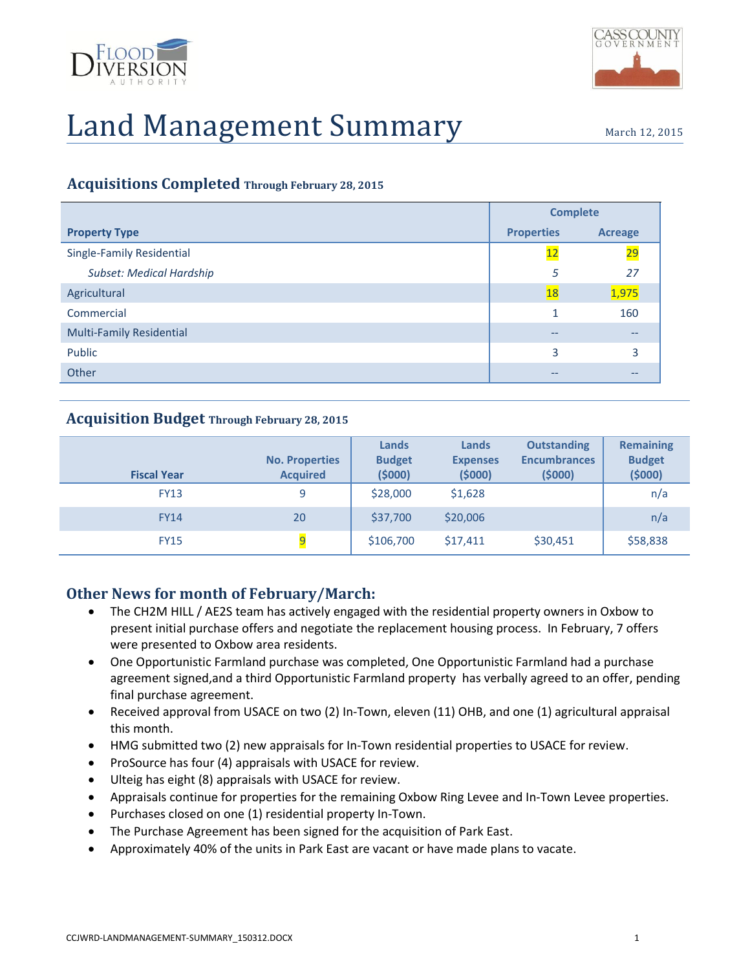



### **Acquisitions Completed Through February 28, 2015**

|                                 | <b>Complete</b>   |                |
|---------------------------------|-------------------|----------------|
| <b>Property Type</b>            | <b>Properties</b> | <b>Acreage</b> |
| Single-Family Residential       | 12                | 29             |
| Subset: Medical Hardship        | 5                 | 27             |
| Agricultural                    | <b>18</b>         | 1,975          |
| Commercial                      |                   | 160            |
| <b>Multi-Family Residential</b> | --                | --             |
| Public                          | 3                 | 3              |
| Other                           |                   |                |

#### **Acquisition Budget Through February 28, 2015**

| <b>Fiscal Year</b> | <b>No. Properties</b><br><b>Acquired</b> | Lands<br><b>Budget</b><br>(5000) | Lands<br><b>Expenses</b><br>(5000) | <b>Outstanding</b><br><b>Encumbrances</b><br>(5000) | <b>Remaining</b><br><b>Budget</b><br>(5000) |
|--------------------|------------------------------------------|----------------------------------|------------------------------------|-----------------------------------------------------|---------------------------------------------|
| <b>FY13</b>        | 9                                        | \$28,000                         | \$1,628                            |                                                     | n/a                                         |
| <b>FY14</b>        | 20                                       | \$37,700                         | \$20,006                           |                                                     | n/a                                         |
| <b>FY15</b>        | 9                                        | \$106,700                        | \$17,411                           | \$30,451                                            | \$58,838                                    |

## **Other News for month of February/March:**

- The CH2M HILL / AE2S team has actively engaged with the residential property owners in Oxbow to present initial purchase offers and negotiate the replacement housing process. In February, 7 offers were presented to Oxbow area residents.
- One Opportunistic Farmland purchase was completed, One Opportunistic Farmland had a purchase agreement signed,and a third Opportunistic Farmland property has verbally agreed to an offer, pending final purchase agreement.
- Received approval from USACE on two (2) In-Town, eleven (11) OHB, and one (1) agricultural appraisal this month.
- HMG submitted two (2) new appraisals for In-Town residential properties to USACE for review.
- ProSource has four (4) appraisals with USACE for review.
- Ulteig has eight (8) appraisals with USACE for review.
- Appraisals continue for properties for the remaining Oxbow Ring Levee and In-Town Levee properties.
- Purchases closed on one (1) residential property In-Town.
- The Purchase Agreement has been signed for the acquisition of Park East.
- Approximately 40% of the units in Park East are vacant or have made plans to vacate.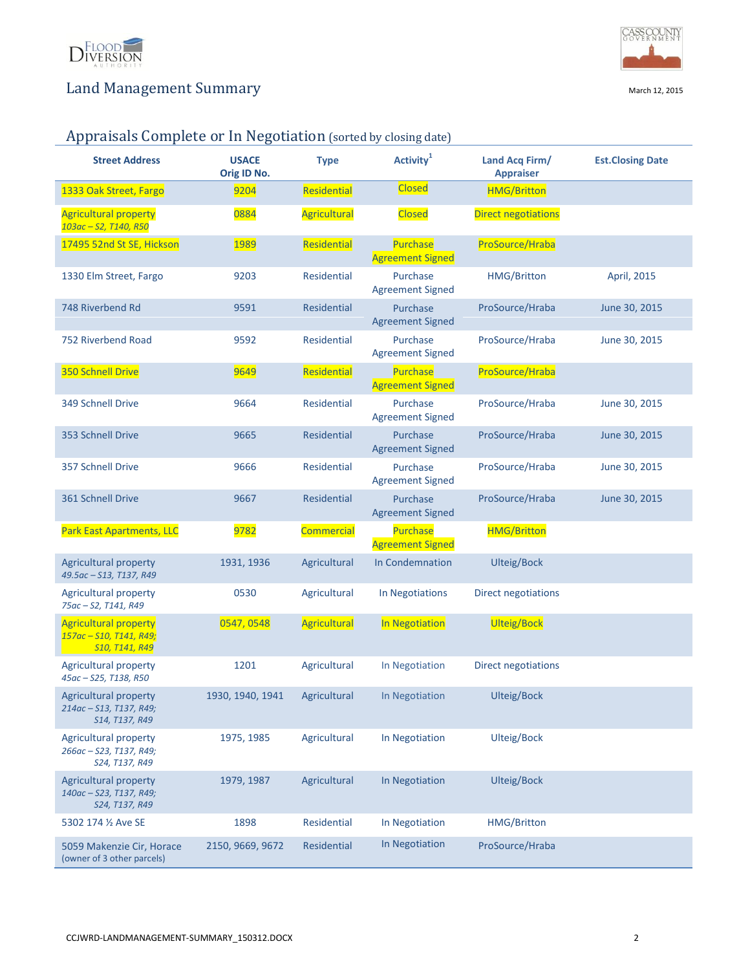



# Appraisals Complete or In Negotiation (sorted by closing date)

| <b>Street Address</b>                                                     | <b>USACE</b><br>Orig ID No. | <b>Type</b>         | Activity <sup>1</sup>                      | Land Acq Firm/<br><b>Appraiser</b> | <b>Est.Closing Date</b> |
|---------------------------------------------------------------------------|-----------------------------|---------------------|--------------------------------------------|------------------------------------|-------------------------|
| 1333 Oak Street, Fargo                                                    | 9204                        | Residential         | <b>Closed</b>                              | <b>HMG/Britton</b>                 |                         |
| <b>Agricultural property</b><br>103ac - S2, T140, R50                     | 0884                        | <b>Agricultural</b> | <b>Closed</b>                              | <b>Direct negotiations</b>         |                         |
| 17495 52nd St SE, Hickson                                                 | 1989                        | Residential         | Purchase<br><b>Agreement Signed</b>        | ProSource/Hraba                    |                         |
| 1330 Elm Street, Fargo                                                    | 9203                        | <b>Residential</b>  | Purchase<br><b>Agreement Signed</b>        | <b>HMG/Britton</b>                 | April, 2015             |
| 748 Riverbend Rd                                                          | 9591                        | <b>Residential</b>  | Purchase<br><b>Agreement Signed</b>        | ProSource/Hraba                    | June 30, 2015           |
| 752 Riverbend Road                                                        | 9592                        | Residential         | Purchase<br><b>Agreement Signed</b>        | ProSource/Hraba                    | June 30, 2015           |
| 350 Schnell Drive                                                         | 9649                        | Residential         | <b>Purchase</b><br><b>Agreement Signed</b> | ProSource/Hraba                    |                         |
| 349 Schnell Drive                                                         | 9664                        | <b>Residential</b>  | Purchase<br><b>Agreement Signed</b>        | ProSource/Hraba                    | June 30, 2015           |
| 353 Schnell Drive                                                         | 9665                        | Residential         | Purchase<br><b>Agreement Signed</b>        | ProSource/Hraba                    | June 30, 2015           |
| 357 Schnell Drive                                                         | 9666                        | <b>Residential</b>  | Purchase<br><b>Agreement Signed</b>        | ProSource/Hraba                    | June 30, 2015           |
| 361 Schnell Drive                                                         | 9667                        | <b>Residential</b>  | Purchase<br><b>Agreement Signed</b>        | ProSource/Hraba                    | June 30, 2015           |
| <b>Park East Apartments, LLC</b>                                          | 9782                        | <b>Commercial</b>   | <b>Purchase</b><br><b>Agreement Signed</b> | <b>HMG/Britton</b>                 |                         |
| <b>Agricultural property</b><br>49.5ac - S13, T137, R49                   | 1931, 1936                  | Agricultural        | In Condemnation                            | <b>Ulteig/Bock</b>                 |                         |
| <b>Agricultural property</b><br>75ac-S2, T141, R49                        | 0530                        | Agricultural        | In Negotiations                            | Direct negotiations                |                         |
| <b>Agricultural property</b><br>157ac - S10, T141, R49;<br>S10, T141, R49 | 0547, 0548                  | <b>Agricultural</b> | In Negotiation                             | <b>Ulteig/Bock</b>                 |                         |
| <b>Agricultural property</b><br>45ac - S25, T138, R50                     | 1201                        | Agricultural        | In Negotiation                             | Direct negotiations                |                         |
| Agricultural property<br>214ac - S13, T137, R49;<br>S14, T137, R49        | 1930, 1940, 1941            | Agricultural        | In Negotiation                             | <b>Ulteig/Bock</b>                 |                         |
| Agricultural property<br>266ac - S23, T137, R49;<br>S24, T137, R49        | 1975, 1985                  | Agricultural        | In Negotiation                             | Ulteig/Bock                        |                         |
| <b>Agricultural property</b><br>140ac - S23, T137, R49;<br>S24, T137, R49 | 1979, 1987                  | Agricultural        | In Negotiation                             | Ulteig/Bock                        |                         |
| 5302 174 1/2 Ave SE                                                       | 1898                        | Residential         | In Negotiation                             | HMG/Britton                        |                         |
| 5059 Makenzie Cir, Horace<br>(owner of 3 other parcels)                   | 2150, 9669, 9672            | Residential         | In Negotiation                             | ProSource/Hraba                    |                         |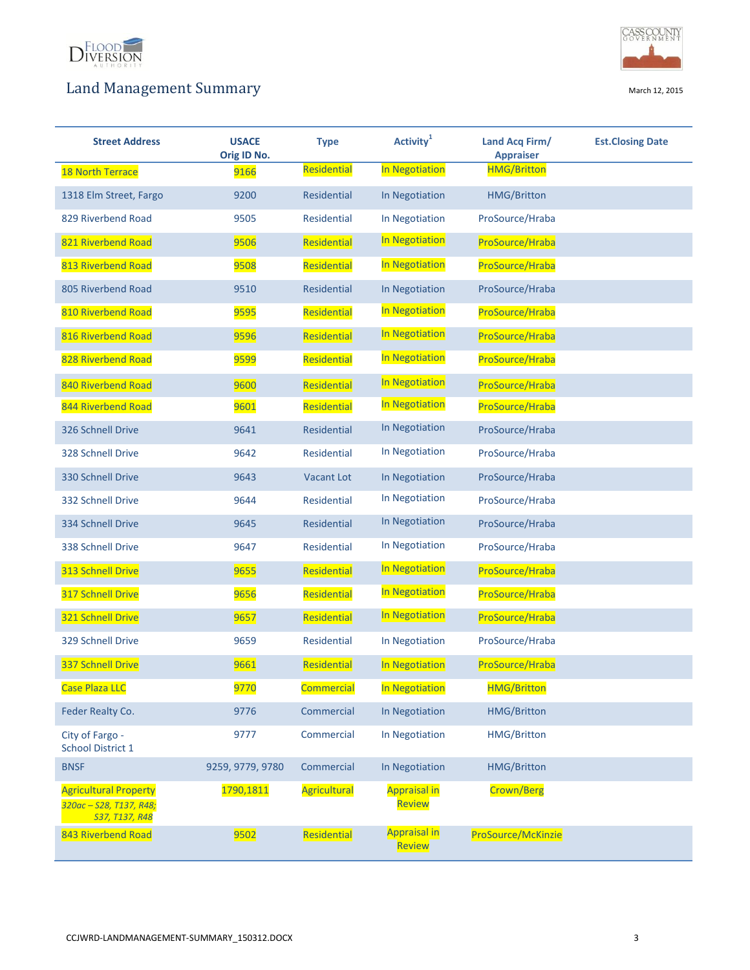



| <b>Street Address</b>                                                     | <b>USACE</b><br>Orig ID No. | <b>Type</b>        | Activity <sup>1</sup>         | Land Acq Firm/<br><b>Appraiser</b> | <b>Est.Closing Date</b> |
|---------------------------------------------------------------------------|-----------------------------|--------------------|-------------------------------|------------------------------------|-------------------------|
| <b>18 North Terrace</b>                                                   | 9166                        | Residential        | In Negotiation                | <b>HMG/Britton</b>                 |                         |
| 1318 Elm Street, Fargo                                                    | 9200                        | <b>Residential</b> | In Negotiation                | <b>HMG/Britton</b>                 |                         |
| 829 Riverbend Road                                                        | 9505                        | <b>Residential</b> | In Negotiation                | ProSource/Hraba                    |                         |
| 821 Riverbend Road                                                        | 9506                        | Residential        | In Negotiation                | ProSource/Hraba                    |                         |
| 813 Riverbend Road                                                        | 9508                        | Residential        | In Negotiation                | ProSource/Hraba                    |                         |
| 805 Riverbend Road                                                        | 9510                        | <b>Residential</b> | In Negotiation                | ProSource/Hraba                    |                         |
| 810 Riverbend Road                                                        | 9595                        | Residential        | In Negotiation                | ProSource/Hraba                    |                         |
| 816 Riverbend Road                                                        | 9596                        | Residential        | In Negotiation                | ProSource/Hraba                    |                         |
| 828 Riverbend Road                                                        | 9599                        | Residential        | In Negotiation                | ProSource/Hraba                    |                         |
| 840 Riverbend Road                                                        | 9600                        | Residential        | In Negotiation                | ProSource/Hraba                    |                         |
| 844 Riverbend Road                                                        | 9601                        | Residential        | In Negotiation                | ProSource/Hraba                    |                         |
| 326 Schnell Drive                                                         | 9641                        | <b>Residential</b> | In Negotiation                | ProSource/Hraba                    |                         |
| 328 Schnell Drive                                                         | 9642                        | <b>Residential</b> | In Negotiation                | ProSource/Hraba                    |                         |
| 330 Schnell Drive                                                         | 9643                        | <b>Vacant Lot</b>  | In Negotiation                | ProSource/Hraba                    |                         |
| 332 Schnell Drive                                                         | 9644                        | <b>Residential</b> | In Negotiation                | ProSource/Hraba                    |                         |
| 334 Schnell Drive                                                         | 9645                        | <b>Residential</b> | In Negotiation                | ProSource/Hraba                    |                         |
| 338 Schnell Drive                                                         | 9647                        | <b>Residential</b> | In Negotiation                | ProSource/Hraba                    |                         |
| 313 Schnell Drive                                                         | 9655                        | Residential        | In Negotiation                | ProSource/Hraba                    |                         |
| 317 Schnell Drive                                                         | 9656                        | Residential        | In Negotiation                | ProSource/Hraba                    |                         |
| 321 Schnell Drive                                                         | 9657                        | Residential        | In Negotiation                | ProSource/Hraba                    |                         |
| 329 Schnell Drive                                                         | 9659                        | <b>Residential</b> | In Negotiation                | ProSource/Hraba                    |                         |
| 337 Schnell Drive                                                         | 9661                        | Residential        | In Negotiation                | ProSource/Hraba                    |                         |
| <b>Case Plaza LLC</b>                                                     | 9770                        | <b>Commercial</b>  | In Negotiation                | <b>HMG/Britton</b>                 |                         |
| Feder Realty Co.                                                          | 9776                        | Commercial         | In Negotiation                | <b>HMG/Britton</b>                 |                         |
| City of Fargo -<br><b>School District 1</b>                               | 9777                        | Commercial         | In Negotiation                | HMG/Britton                        |                         |
| <b>BNSF</b>                                                               | 9259, 9779, 9780            | Commercial         | In Negotiation                | <b>HMG/Britton</b>                 |                         |
| <b>Agricultural Property</b><br>320ac - S28, T137, R48;<br>S37, T137, R48 | 1790,1811                   | Agricultural       | <b>Appraisal in</b><br>Review | Crown/Berg                         |                         |
| 843 Riverbend Road                                                        | 9502                        | Residential        | <b>Appraisal in</b><br>Review | ProSource/McKinzie                 |                         |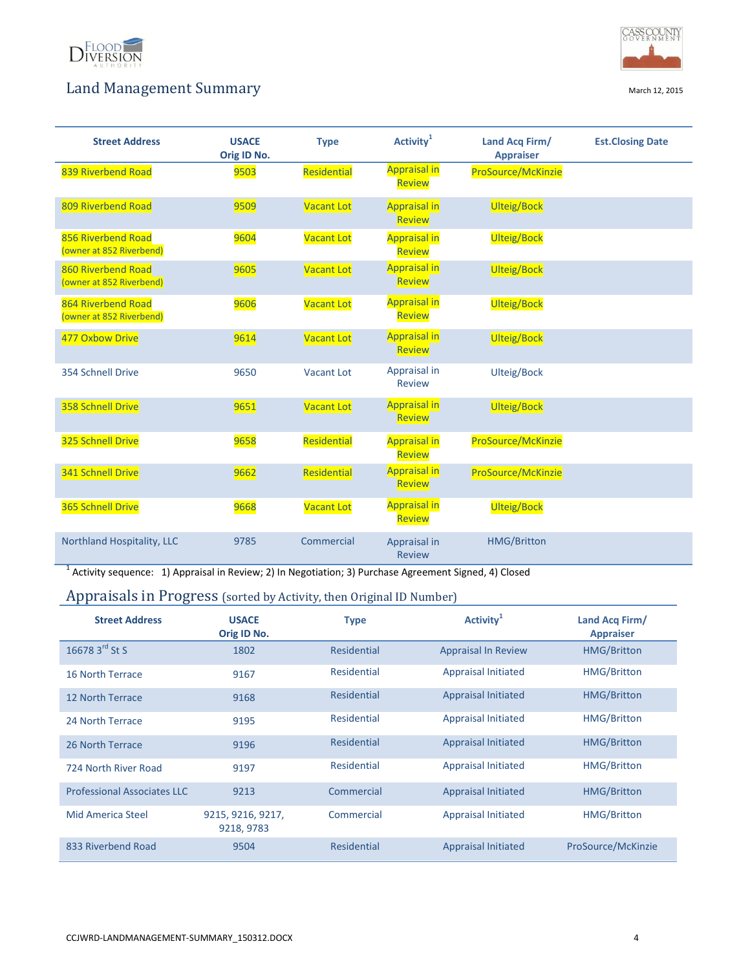



| <b>Street Address</b>                          | <b>USACE</b><br>Orig ID No. | <b>Type</b>       | Activity <sup>1</sup>                | Land Acq Firm/<br><b>Appraiser</b> | <b>Est.Closing Date</b> |
|------------------------------------------------|-----------------------------|-------------------|--------------------------------------|------------------------------------|-------------------------|
| 839 Riverbend Road                             | 9503                        | Residential       | <b>Appraisal in</b><br><b>Review</b> | ProSource/McKinzie                 |                         |
| 809 Riverbend Road                             | 9509                        | <b>Vacant Lot</b> | <b>Appraisal in</b><br><b>Review</b> | Ulteig/Bock                        |                         |
| 856 Riverbend Road<br>(owner at 852 Riverbend) | 9604                        | <b>Vacant Lot</b> | <b>Appraisal in</b><br><b>Review</b> | <b>Ulteig/Bock</b>                 |                         |
| 860 Riverbend Road<br>(owner at 852 Riverbend) | 9605                        | <b>Vacant Lot</b> | <b>Appraisal in</b><br><b>Review</b> | Ulteig/Bock                        |                         |
| 864 Riverbend Road<br>(owner at 852 Riverbend) | 9606                        | <b>Vacant Lot</b> | <b>Appraisal in</b><br><b>Review</b> | <b>Ulteig/Bock</b>                 |                         |
| 477 Oxbow Drive                                | 9614                        | <b>Vacant Lot</b> | <b>Appraisal in</b><br><b>Review</b> | Ulteig/Bock                        |                         |
| 354 Schnell Drive                              | 9650                        | <b>Vacant Lot</b> | Appraisal in<br><b>Review</b>        | Ulteig/Bock                        |                         |
| 358 Schnell Drive                              | 9651                        | <b>Vacant Lot</b> | <b>Appraisal in</b><br><b>Review</b> | <b>Ulteig/Bock</b>                 |                         |
| 325 Schnell Drive                              | 9658                        | Residential       | <b>Appraisal in</b><br><b>Review</b> | ProSource/McKinzie                 |                         |
| 341 Schnell Drive                              | 9662                        | Residential       | <b>Appraisal in</b><br><b>Review</b> | ProSource/McKinzie                 |                         |
| 365 Schnell Drive                              | 9668                        | <b>Vacant Lot</b> | <b>Appraisal in</b><br><b>Review</b> | <b>Ulteig/Bock</b>                 |                         |
| Northland Hospitality, LLC                     | 9785                        | Commercial        | Appraisal in<br><b>Review</b>        | <b>HMG/Britton</b>                 |                         |

<sup>1</sup> Activity sequence: 1) Appraisal in Review; 2) In Negotiation; 3) Purchase Agreement Signed, 4) Closed

## Appraisals in Progress (sorted by Activity, then Original ID Number)

| <b>Street Address</b>              | <b>USACE</b><br>Orig ID No.     | <b>Type</b> | <b>Activity</b>            | Land Acq Firm/<br><b>Appraiser</b> |
|------------------------------------|---------------------------------|-------------|----------------------------|------------------------------------|
| 16678 3rd St S                     | 1802                            | Residential | <b>Appraisal In Review</b> | <b>HMG/Britton</b>                 |
| 16 North Terrace                   | 9167                            | Residential | <b>Appraisal Initiated</b> | <b>HMG/Britton</b>                 |
| 12 North Terrace                   | 9168                            | Residential | <b>Appraisal Initiated</b> | <b>HMG/Britton</b>                 |
| 24 North Terrace                   | 9195                            | Residential | <b>Appraisal Initiated</b> | <b>HMG/Britton</b>                 |
| 26 North Terrace                   | 9196                            | Residential | <b>Appraisal Initiated</b> | <b>HMG/Britton</b>                 |
| 724 North River Road               | 9197                            | Residential | <b>Appraisal Initiated</b> | <b>HMG/Britton</b>                 |
| <b>Professional Associates LLC</b> | 9213                            | Commercial  | <b>Appraisal Initiated</b> | <b>HMG/Britton</b>                 |
| Mid America Steel                  | 9215, 9216, 9217,<br>9218, 9783 | Commercial  | <b>Appraisal Initiated</b> | <b>HMG/Britton</b>                 |
| 833 Riverbend Road                 | 9504                            | Residential | Appraisal Initiated        | ProSource/McKinzie                 |